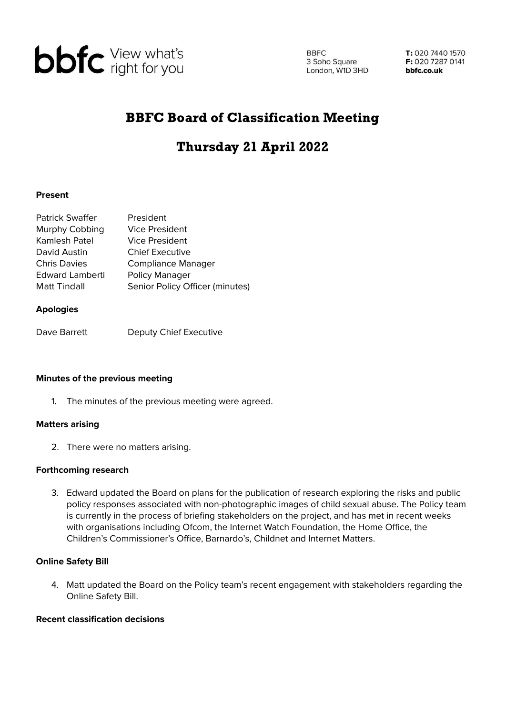

**BBFC** 3 Soho Square London, W1D 3HD

T: 020 7440 1570 F: 020 7287 0141 bbfc.co.uk

## BBFC Board of Classification Meeting

# Thursday 21 April 2022

#### **Present**

| <b>Patrick Swaffer</b> | President                       |
|------------------------|---------------------------------|
| Murphy Cobbing         | <b>Vice President</b>           |
| Kamlesh Patel          | <b>Vice President</b>           |
| David Austin           | <b>Chief Executive</b>          |
| <b>Chris Davies</b>    | <b>Compliance Manager</b>       |
| <b>Edward Lamberti</b> | Policy Manager                  |
| <b>Matt Tindall</b>    | Senior Policy Officer (minutes) |

#### **Apologies**

Dave Barrett Deputy Chief Executive

#### **Minutes of the previous meeting**

1. The minutes of the previous meeting were agreed.

#### **Matters arising**

2. There were no matters arising.

#### **Forthcoming research**

3. Edward updated the Board on plans for the publication of research exploring the risks and public policy responses associated with non-photographic images of child sexual abuse. The Policy team is currently in the process of briefing stakeholders on the project, and has met in recent weeks with organisations including Ofcom, the Internet Watch Foundation, the Home Office, the Children's Commissioner's Office, Barnardo's, Childnet and Internet Matters.

## **Online Safety Bill**

4. Matt updated the Board on the Policy team's recent engagement with stakeholders regarding the Online Safety Bill.

#### **Recent classification decisions**